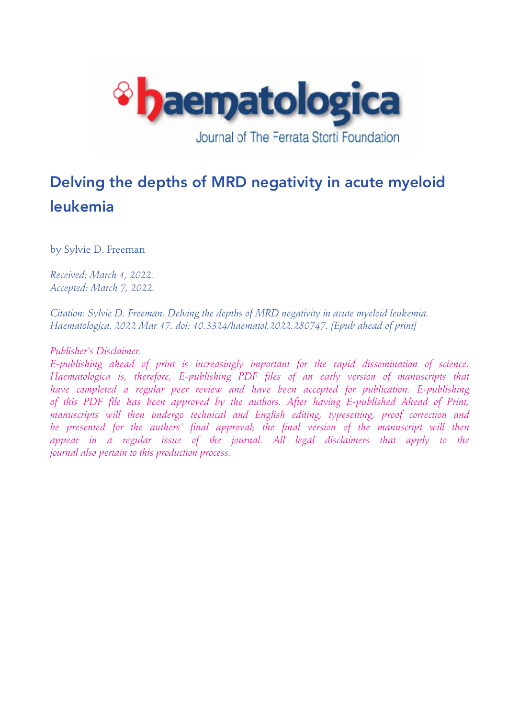

# Delving the depths of MRD negativity in acute myeloid leukemia

by Sylvie D. Freeman

*Received: March 1, 2022. Accepted: March 7, 2022.* 

*Citation: Sylvie D. Freeman. Delving the depths of MRD negativity in acute myeloid leukemia. Haematologica. 2022 Mar 17. doi: 10.3324/haematol.2022.280747. [Epub ahead of print]* 

## *Publisher's Disclaimer.*

*E-publishing ahead of print is increasingly important for the rapid dissemination of science. Haematologica is, therefore, E-publishing PDF files of an early version of manuscripts that have completed a regular peer review and have been accepted for publication. E-publishing of this PDF file has been approved by the authors. After having E-published Ahead of Print, manuscripts will then undergo technical and English editing, typesetting, proof correction and*  be presented for the authors' final approval; the final version of the manuscript will then appear in a regular issue of the journal. All legal disclaimers that apply to the *journal also pertain to this production process.*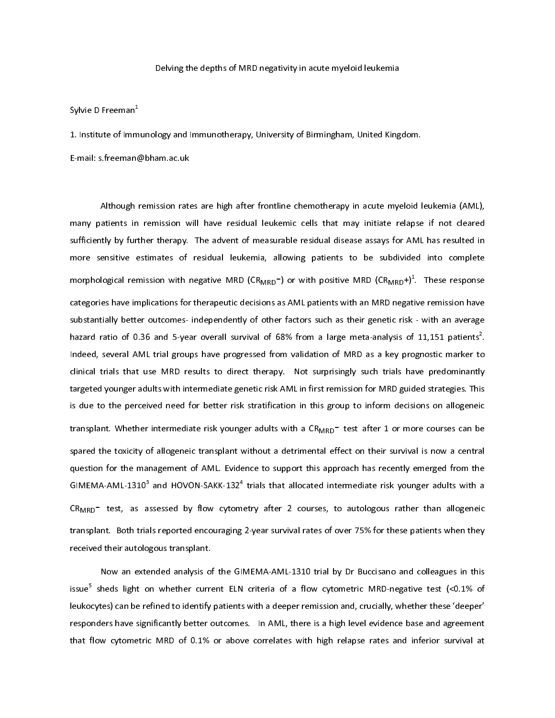Sylvie D Freeman<sup>1</sup>

Delving an algo the suppliers of Birmingham, United King<br>
Delving and Immunotherapy, University of Birmingham, United King<br>
Sison rates are high after frontline chemotherapy in acute myelois<br>
sison rates are high after fr where the search of the time of a search of the search of the search of the search of the search of the search of the search of the search of the search of the search of the search of the search of the search of the search Sylvie D Freeman-<br>1. Institute of Imm<br>E-mail: s.freeman (<br>Although I<br>many patients in<br>sufficiently by furt<br>more sensitive e<br>morphological ren<br>categories have im<br>substantially bette<br>hazard ratio of 0.<br>Indeed, several Al<br>cli E-mail: s.freeman@bham.ac.uk<br>
Akhough remission rates are high after frontline chemotherapy in acute myeloid Immy patients in remission will have residual leukemic cells that may initiate relapse<br>
sufficiently by further Although remission rate<br>many patients in remission w<br>sufficiently by further therapy.<br>more sensitive estimates of<br>morphological remission with r<br>categories have implications for<br>substantially better outcomes-<br>hazard ratio A a d e l e b d l d l d l n n d l l d atients in remission will have residual leukemic cells that may initiate relapse if not cleared<br>tly by further therapy. The advent of measurable residual disease assays for AML has resulted in<br>the thy by further therapy. T sufficiently by further therapy. The advent of measurable residual disease assays for AML has resulted in<br>more sensitive estimates of residual leukemia, allowing patients to be subdivided into complete<br>morphological remiss more sensitive estimates of residual leukemia, allowing patients to be subdivided into complete<br>morphological remission with negative MRD (CR<sub>MRD</sub><sup>-</sup>) or with positive MRD (CR<sub>MRD</sub><sup>-)</sup>?. These response<br>categories have impl morphological remission with negative MRD (CR<sub>MRD</sub><sup>-</sup>) or with positive MRD (CR<sub>MRD</sub><sup>-</sup>)<sup>2</sup>. These response<br>categories have implications for therapeutic decisions as AML patients with an MRD negative remission have<br>substan exact portion in MRD metallic and the metallic state in the metallic state of the metallic reactions as AML patients with an MRD negative substantially better outcomes-independently of other factors such as their genetic r morphological remission with negative MRD (CR<sub>MRD</sub>-) or with positive MRD (CR<sub>MRD</sub>+)<sup>1</sup>. These response ive remission have<br>- with an average<br>11,151 patients<sup>2</sup>.<br>gnostic marker to<br>ve predominantly<br>led strategies. This<br>ons on allogeneic<br>re courses can be<br>all is now a central<br>emerged from the<br>ger adults with a<br>r than allogenei substantially better outcomes- independently of other factors such as their genetic risk - with an average havard ratio of 0.36 and 5-year overall survival of 68% from a large meta-analysis of 11,151 patients<sup>2</sup>. Indeed, s hazard ratio of 0.36 and 5-year overall survival of 68% from a large meta-analyss of 11,151 patients<sup>3</sup>.<br>Indeed, several AML triall groups have progressed from validation of MRD as a key progrostic marker to<br>clinical trial mazard ratio of 0.36 and 5-year overall survival of 68% from a large meta-analysis or 11,151 patents?<br>
Indical triats that trial groups have progressed from validation of MRD as a key progrootic marrier<br>
Indical trials tha . elinical trials that use MRD results to direct therapy. Not surprisingly such trials have predominantly<br>targeted younger adults with intermediate genetic risk AML in first remission for MRD guided strategies. This<br>is due t targeted younger adults with intermediate genetic risk AML in first remission for MRD guided strategies. This is due to the perceived need for better risk stratification in this group to inform decisions on allogeneic<br>tran is due to the perceived need for better risk stratification in this group to inform decisions on allogeneic<br>transplant. Whether intermediate risk younger adults with a CR<sub>MRD</sub>- test after 1 or more courses can be<br>spared th transplant. Whether intermediate risk younger adults with a CR<sub>MRD</sub><sup>-</sup> test after 1 or more courses can be spared the toxicity of allogeneic transplant without a detrimental effect on their survival is now a central questi transplant. Matter intermediate risk y ranger adults and a string a court and a chief six younger adults is now a central question for the management of AML. Evidence to support this approach has recently emerged from the spation for the management of AML. Evidence to support this approach has recently emerged from the GIMEMA-AML-1310<sup>3</sup> and HOVON-SAKK-132<sup>4</sup> trials that allocated intermediate risk younger adults with a GR<sub>MRD</sub>- test, as as THE CONTENDANA CONDEXANT AND HOVON-SAKK-132<sup>4</sup> trials that allocated intermediate risk younger adults with a CR<sub>MRD</sub><sup>-</sup> test, as assessed by flow cytometry after 2 courses, to autologous rather than allogeneic transplant.

GIMEMA-AML-1310<sup>-</sup><br>CR<sub>MRD</sub>- test, as a<br>transplant. Both tria<br>received their autolo<br>Now an exte<br>issue<sup>5</sup> sheds light o<br>leukocytes) can be re<br>responders have sigr<br>that flow cytometric and HOVON-SAKK-132<br>ssessed by flow cytom<br>Is reported encouraging<br>gous transplant.<br>ended analysis of the GI<br>n whether current ELN<br>fined to identify patients<br>inificantly better outcome<br>2 MRD of 0.1% or abov trials that allocated intermediate risk younger link is and<br>that a link of the allogeneic<br>2-year survival rates of over 75% for these patients when they<br>MEMA-AML-1310 trial by Dr Buccisano and colleagues in this<br>criteria o CRMRD - 1223, and allows are approached and allows are approximated by the CRMR MANL-1310 trial by Dr Buccisano and colleagues in this issue<sup>5</sup> sheds light on whether current ELN criteria of a flow cytometric MRD-negative transplant.<br>
The transformation of the GIMEMA-AML-1310 trial by Dr Buccisano and colleagues in this<br>
issue<sup>5</sup> sheds light on whether current ELN criteria of a flow cytometric MRD-negative test (<0.1% of<br>
leukocytes) can be Now an extended analysis of<br>issue<sup>5</sup> sheds light on whether curre<br>leukocytes) can be refined to identify<br>responders have significantly better c<br>that flow cytometric MRD of 0.1% Now an entertainment of the Content analysis of the GIMEMA-AML-1310 of the GIMEMA-AML-1310 trial behind to identify patients with a deeper remission and, crucially, whether these 'deeper'<br>ers have significantly better outc issue<br>leuko<br>respo<br>that f sheds are the refined to identify patients with a deeper remission and, crucially, whether these 'deeper'<br>nders have significantly better outcomes. In AML, there is a high level evidence base and agreement<br>low cytometric M responders have significantly better outcomes. In AML, there is a high level evidence base and agreement that flow cytometric MRD of 0.1% or above correlates with high relapse rates and inferior survival at that flow cytom that flow cytometric MRD of 0.1% or above correlates with high relapse rates and inferior survival at that flow cytometric MRD of 0.1% or above correlates with high relapse rates and inferior survival at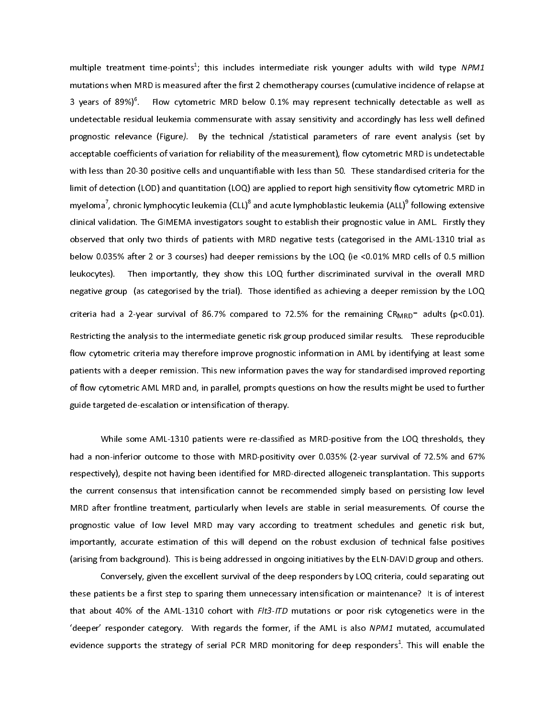multiple treatment time-points<br>mutations when MRD is measure<br>3 years of 89%)<sup>6</sup>. Flow cytom<br>undetectable residual leukemia c<br>prognostic relevance (Figure).<br>acceptable coefficients of variatic<br>with less than 20-30 positive ; unstandant meantly courses (comulative incidence specifies adder the first 2 chemotherapy courses (comulative incidence of realpse at entire of Relation 2.1% may represent technically detectable as well as form mensurat 3 years of 89%<sup>8</sup>. Flow excometric MRD below 0.1% may represent technically detectable as well as<br>undetectable readulal liukemia commensurate with assay sensitivity and accordingly has less well defined<br>prognostic relevanc 3 years of 89%)<br>
undetectable resi<br>
prognostic releva<br>
acceptable coeffic<br>
with less than 20<br>
limit of detection<br>
myeloma<sup>7</sup>, chroni<br>
clinical validation.<br>
observed that on<br>
below 0.035% aft<br>
leukocytes). Th<br>
negative gro dual leukemia commensurate with assay sensitivity and accordingly has less well defined<br>note (Figure). By the technical /statistical parameters of rare event analysis (set by<br>lents of variation for reliability of the meas prognostic relevance [Figure]. By the technical /statistical parameters of rare event analysis [set by<br>ecceptable coefficients of variation for relability of the measurement), flow cytometric MRD is undetectable<br>with less propose "economic relevance" in the Communical Society and the technical of the technical parameters of variation for reliability of the measurement), flow cytometric MRD is undetectable<br>with leas than 20-30 positive cells with less than 20:30 positive cells and unquantifable with less than 50. These standardised criteria for the<br>limit of detection (LOD) and quantitation (LOQ) are applied to report high sensitivity flow cytometric MRD in<br>mye limit of detection (LOD) and quantitation (LOQ) are applied to report high sensitivity flow cytometric MRD in<br>myeloma", chronic lymphocylic leukemia (CLL)<sup>4</sup> and acute lymphoblastic leukemia (ALL)<sup>5</sup> following extensive<br>di Impeloma<sup>2</sup>, chronic lymphocytic leukemia (CLL)<sup>8</sup> and acute lymphobiastic leukemia (ALL)<sup>9</sup> following extensive<br>Ichical validation. The GIMEMA investigators sought to establish their progrostic value in AML. Firstly they<br> myeloma<br>
clinical val<br>
observed<br>
below 0.0<br>
leukocyte:<br>
negative g<br>
criteria ha<br>
Restricting<br>
flow cytor<br>
patients w<br>
of flow cyt<br>
guide targ<br>
W<br>
had a nor<br>
respective<br>
the currer<br>
MRD aftel<br>
prognostic<br>
important<br>
(arisin , chronic lymphocytic leukemia (CLL)\*<br>idation. The GIMEMA investigators so<br>that only two thirds of patients with<br>35% after 2 or 3 courses) had deepe<br>s). Then importantly, they show troup (as categorised by the trial). 1<br>ad and acute lymphoblastic leukemia (ALL)<br>
bught to establish their prognostic value in MRD negative tests (categorised in the<br>
r remissions by the LOQ (ie <0.01% MRL<br>
his LOQ further discriminated survival if<br>
hose identifie in AML. Firstly they<br>
a AML-1310 trial as<br>
b cells of 0.5 million<br>
in the overall MRD<br>
mission by the LOQ<br>  $D^-$  adults (p<0.01).<br>
These reproducible<br>
ifying at least some<br>
improved reporting<br>
t be used to further<br>
DQ thre observed that only two thirds of patients with MRD negative tests (categorised in the AML-1310 trial as<br>below 0.035% after 2 or 3 courses) had deeper remissions by the LOQ (ie <0.01% MRD cells of 0.5 million<br>elukocytes). T below 0.035% after 2 or 3 courses) had deeper remissions by the LOQ (ie <0.01% MRD cells of 0.5 millionely<br>deukocytes). Then importantly, they show this LOQ further discriminated survival in the overall MRD<br>negative group

below orces). Then importantly, they show this LOQ further discriminated survival in the overall MRD negative group [as categorised by the trial]. Those identified as achieving a deeper remission by the LOQ orteria had a 2 negative group las categorised by the trial). Those identified as achieving a deeper remission by the LOQ triets had a 2-year survival of 86,7% compared to 72.5% for the remaining CR<sub>MHU</sub><sup>-</sup> adults (p-0.01).<br>Restricting th netries had a 2-year survival of 86.7% compared to 72.5% for the remaining CR<sub>MRD</sub> adults (p<0.01).<br>Restricting the analysis to the intermediate genetic risk group produced similar results. These reproducible<br>Divery cytome Exercicling the analysis to the intermediate genelic risk group produced smilar results. These reproducible flow cytometric criteria may therefore improve prognostic information in AML by identifying at least some patients Flow cytometric criteria may therefore improve prognostic information in AML by identifying at least some<br>patients with a deeper remission. This new information paves the way for standardsed improved reporting<br>of flow cyto patients with a deeper remission. This new information paves the way for standardsed improved reporting<br>of flow cytometric AML MRD and, in parallel, prompts questions on how the results might be used to further<br>guide targe follow cytometric AML MRD and, in parallel, prompts questions on how the results might be used to further guide targeted de-escalation or intensification of therapy.<br>While some AML-1310 patients were re-classified as MRD-p guide targeted de-escalation or intensfication of therapy.<br>
While some AML-1310 patients were re-dassified as MRD-positive from the LOQ thresholds, they<br>
had a non-inferior outcome to those with MRD-positivity over 0.035% While some AML-1310 patients were re-classified<br>had a non-inferior outcome to those with MRD-positivity<br>respectively), despite not having been identified for MRD<br>the current consensus that intensification cannot be rec<br>MRD ヽヽ c ヽ ' t t ヒ c a っ e on-inferior outome to those with MRD-positivity over 0.035% (2-year survival of 72.5% and 67%<br>evely), despite not having been identified for MRD-directed allogeneic transplantation. This supports<br>evely), despite not having respectively), despite not having been identified for MRD-directed allogeneic transplantation. This supports the current consensus that intensification cannot be recommended simply based on persisting low level MRD after f the current consensus that intensification cannot be recommended simply based on persisting low level<br>MRD after frontline treatment, particularly when levels are stable in serial measurements. Of course the<br>prognostic valu

MRD after frontline treatment, particularly when levels are stable in serial measurements. Of course the prognostic value of low level MRD may vary according to treatment schedules and genetic risk but, importantly, accura prognostic value of low level MRD may vary according to treatment schedules and genetic risk but, importantly, accurate estimation of this will depend on the robust exclusion of technical false positives (arising from back mportantly, accurate estimation of this will depend on the robust exclusion of technical false positives (arising from background). This is being addressed in ongoing initiatives by the ELN-DAVID group and others.<br>Convers importantly, accurately, accurately in this is being addressed in ongoing initiatives by the ELN-DAVID group and others.<br>
Conversely, given the excellent survival of the deep responders by LOQ criteria, could separating ou Conversely, given the excellent survival of the deep responders by LOQ criteria, could separating out<br>these patients be a first step to sparing them unnecessary intensification or maintenance? It is of interest<br>that about Example, the excellent survival of the excellent survival of the deep respondence? It is of interest<br>out 40% of the AML-1310 cohort with *Flt3-ITD* mutations or poor risk cytogenetics were in the<br>responder category. With r that about 40% of the AML-1310 cohort with *Flt3-ITD* mutations or poor risk cytogenetics were in the<br>'deeper' responder category. With regards the former, if the AML is also *NPM1* mutated, accumulated<br>evidence supports t that about 40% of the AML-1310 cohort with Fits-ITD mutations or poor risk cytogenetics were in the<br>
'deeper' responder category. With regards the former, if the AML is also *NPM1* mutated, accumulated<br>
evidence supports t evidence supports the strategy of serial PCR MRD monitoring for deep responders<sup>1</sup>. This will enable the evidence supports the strategy of serial PCR MRD monitoring for deep responders<sup>1</sup>. This will enable the evidence supports the strategy of serial PCR MRD monitoring for deep responders1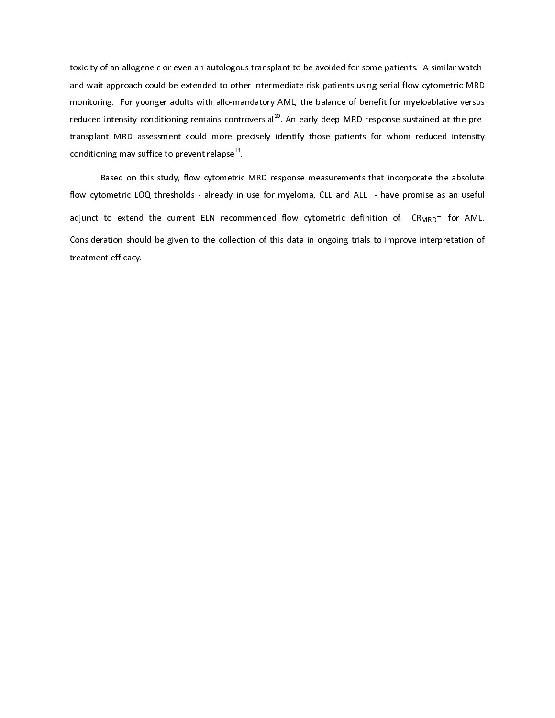toxicity of an allogeneic or even an autologous transplant to be avoided for some patients. A similar watch-

monitoring. For younger adults with allo-mandatory AML, the balance of benefit for myeloablative versus reduced intensity conditioning remains controversial<sup>19</sup>. An early deep MRD response sustained at the pre-<br>transplant reduced intensity conditioning remains controversial<sup>137</sup>. An early deep MRD response sustained at the pre-<br>transplant MRD assessment could more precisely identify those patients for whom reduced intensity<br>conditioning may reduced intensity conditioning remains controversial". An early deep MRD response sustained at the pre-<br>transplant MRD assessment could more precisely identify those patients for whom reduced intensity<br>conditioning may suf transponsion of the state of the protect relapse<sup>t4</sup>.<br>
Based on this study, flow cytometric MRD response measurements that incorporate the absolute<br>
flow cytometric LOQ thresholds - already in use for myeloma, CLL and ALL conditioning may suffice to prevent relapse<sup>11</sup>.<br>Based on this study, flow cytometric<br>flow cytometric LOQ thresholds - already in<br>adjunct to extend the current ELN recom<br>Consideration should be given to the collecti<br>treatm based on the cytometric LOQ thresholds - already in use for myeloma, CLL and ALL - have promise as an useful to extend the current ELN recommended flow cytometric definition of  $CR_{MRO}$  for AML ration should be given to the for the cytometric location of LOQ thresholds - already in use for my exponential of the consideration should be given to the collection of this data in ongoing trials to improve interpretation of treatment efficacy. adjunction to extend the current ELN recommended flow cytometric definition of consideration should be given to the collection of this data in ongoing trials to improve interpretation of treatment efficacy. Consideration showled be given to the collection of this data in ongoing trials to improve interpretation of this data in ongoing trials to improve interpretation of this data in our collection of the collection of the col treatment efficacy.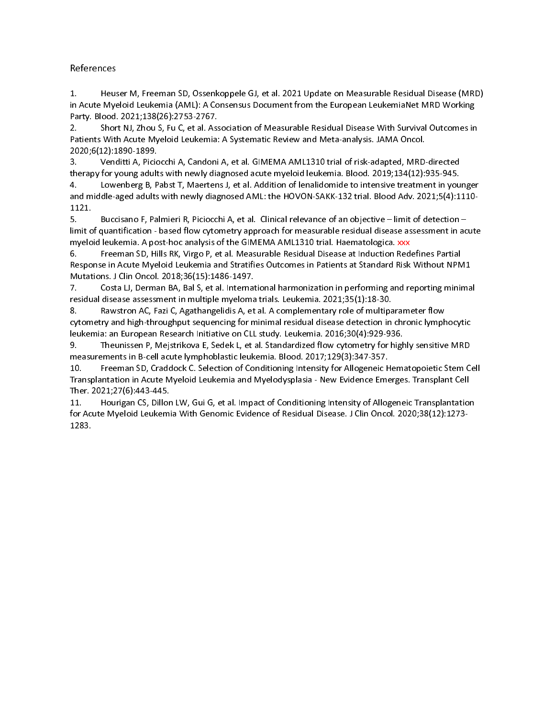Party, Blood, 2023, 2021;13582, 2021, 2021; 2021; 2021; 2021; 2021; 2021; 2021; 2021; 2022; 2021;121;1390;121;1390;121;1390;121;1390;121;1390;121;1390;121;1390;121;1390;121;1390;121;1390;121;1390;121;1390;121;1390;121;1390 2. Short NJ, Zhou S, Fu C, et al. Ass<br>Patients With Acute Myeloid Leukemia:<br>2020;6(12):1890-1899.<br>3. Venditti A, Piciocchi A, Candoni<br>therapy for young adults with newly dia<br>4. Lowenberg B, Pabst T, Maerten<br>and middle-aged

In Acture Myeloid Leukemia, and Statistic Actual Actual Notes and Myeloid Check MRD Working<br>
In Actual Myeloid Checkmia (AML: A Consentius Decument from the European LeukemiaNet MRD Working<br>
Parkets With Actual Sylve Care Paltents with Action Myrical Leakemia: A Systematic Review and Meta-analysis. JAMA Oncol.<br>2020.6:12):1890-1899 (Notacchi A, Candoni A, et al. GIMEMA AML1310 trial of risk-adapted, MRD directed<br>3. Venditti A, Piciocchi A, C 2020;6(12):1390-1899.<br>
3. Vendttit A, Pelocchi A, Candoni A, et al. GIMEMA AML1310 trial of risk-adapted, MRD<br>
therapy for young adults with newly diagnosed acute myeloid leukemia. Blood. 2019;134(12):<br>
therapy for young a 3. Venditti A, Picic<br>therapy for young adult<br>4. Lowenberg B, P<br>and middle-aged adults<br>1121.<br>5. Buccisano F, Pa<br>limit of quantification-<br>myeloid leukemia. A po<br>6. Freeman SD, Hi<br>Response in Acute Mye<br>Mutations. J Clin Oncol therapy for young adults with newly diagnosed acute myelod leukemia. Blood. 2019;134(12):935-945.<br>4. Lowehberg, B, Pabsir T, Maeterns J, et al. Addition of lenablomidel to interasive trestment in you<br>small of the signal of <sup>1</sup> Lowenberg 8, Pabst T, Maertens], et al. Addition of lenalidomide to intensive treatment in you<br>
1121.<br>
1121.<br>
5. Buccisano F, Palmieri R, Piciocthi A, et al. Clinical relevance of an objective – limit of quantification and middle-aged adults with newly diagnosed AML: the HOVON-SAKK-132 trial. Blood Adv. 2021;5(4):1110-<br>1121.<br>
5. Lowestano F, Palmieri R, Picrochi A, et al. Clinical relevance of an objective – limit of detection –<br>Imit of 1121<br>
s. Buccisano F, Palmieri R, Piciocchi A, et al. Clinical relevance of an objective – limit of detection –<br>
limit of quantification - based flow cytometry approach for measurable residual disease assessment in acut<br>
m 1121. Imit of quantification - based flow cytometry approach for measurable residual disease assessment in ac<br>myeloid elukemia. A post-hoc amalyai of the GIMEMA AML3130 (rial. Heenatologica. xw.<br>
5. Freeman 50, Hils RK, Virgo P, myelod leukemia A post-hoc analysis of the GIMEMA AML13D trail Hearmatologica, xxx<br>K6 — Freeman SD, HIIs RK, Virgo P, et al. Measurable Residual Disease as Induction Redefines Partial<br>Response in Acute Myeloid Leukemia and 6. Freeman SD, Hills RK, Virgo P, et al. Measurable Residual Disease at Induction Red<br>Response in Actual Myleloid Leukemia and Stratifies Dutcomes in Patients at Standard Risk<br>Mutations . J Clin Oncol. 2018;36(15):1486-149 Response in Acute Myeloid Leukemia and Stratifies Outcomes in Patients at Standard Risk Without NPM<br>Mutations J Clin Onco. 12018;36:15:14:468-1497.<br>The Costa U, Deman BA, Bal S, et al. International harmonization in perfor Mutations . J Clin Oncol. 2018;36;15):1486-1497.<br>7. Costa Li, Derman 8A, Bal S, et al. International harmonization in performing and reporting minima<br>residual disease assessment in multiple myeloma trials . Leukemia . 2021 7. Costa LJ, Derman BA, Bal S, et al. Internat<br>residual disease assessment in multiple myeloma<br>8. Rawstron AC, Fazi C, Agathangelidis A, et<br>cytometry and high-throusphut sequencing for method.<br>Intelation in European Resear residual disease assessment in multiple myclomatrials. Leukemia 2.021,55 (U.18-30)<br>
8. Rawstron AC, Faul C, Agathangelidis A, et al. A complementary role of multiparameter flow<br>cytometry and high-throughput sequencing or m 8. Rawstron AC, Fazi C, Agathangelidis A, et al. A complementary role of multiparty and high-throughput sequencing for minimal residual disease detection in multiple lielukemia. an European Research Initiative on CLI study cytometry and high-throughput sequencing for minimal residual disease detection in chronic lymptochemic and Europa Reeserch Initiative on CL study, Leukemina, 2016;30(4):329-336.<br>19. Theurisen P, Mejstrikova E, Sedek L, et ieukemia: an European Research initiative on CLL study, Leukemia. 2016;30(4):929-936.<br>
9. Therouissen P, Mejstrikove E, Sedek L, et al. Standardzed flow cytometry for highly sensitive MRD<br>
9. Thereman SD, Cradiock C. Selec 9. Theunissen P, Mejstrikova E, Sedek L, et al. Standardized flow cytometry for higherements in B-cell acute lymphobiastic leukemia. Blood. 2017;129(3):347-357.<br>measurements in B-cell study. Leukemia. 2016;30(4):47-357.<br>11 9. Theunissen P, Mejstrikova E, Sedek L, et al. Standardized flow cytometry for highly sensitive MRD 10. Freeman SD, Craddock C. Selection of Conditioning Intensity for Allogeneic H<br>Transplantation in Acute Myeloid Leukemia and Myelodysplasia - New Evidence Emeraporation in Acute Myeloid Leukemia and Myelodysplasia - New

Transplantation in Acute Myeloid Leukemia and Myelodysplasia - New Evidence Emerges. Transplant Cell<br>The: 2021,27 (5):44.445.<br>11. Hourigan C5, Dillon LW, Gui G, et al. Impact of Conditioning Intensity of Allogeneic Transpl Transplantation in Acute Myeloid Leukemia and Myelodysplasia - New Evidence Emerges. Transplant Cell There. 2021; Therefore, Therefore, Therefore, Therefore, Therefore, Therefore, Therefore, Therefore, Therefore, Therefore, Theorem 1283. for Acute Myeloid Leukemia With Genomic Evidence of Residual Disease. J Clin Oncol. 2020;38(12):1273-<br>1283.<br>1283. for Acute Myeloid Leukemia With Genomic Evidence of Residual Disease. J Clin Oncol. 2020;<br>1283.<br>J Clin Oncol. 2020;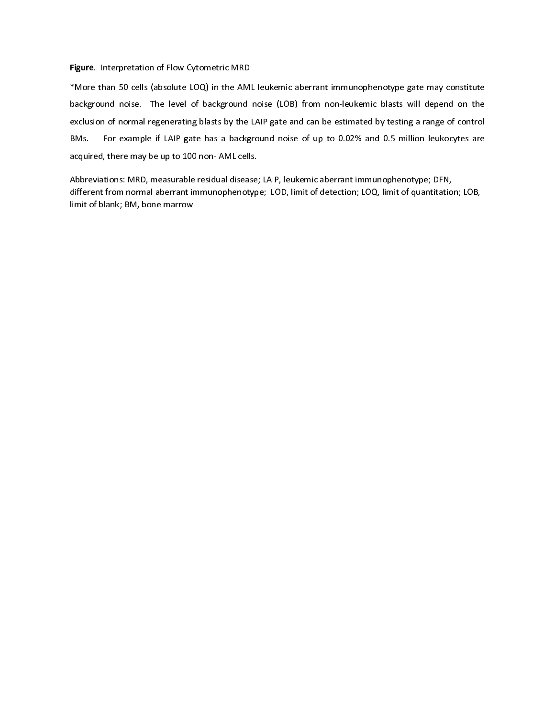rigare. Interpretation of Flow Cytometric MRD<br>\*More than 50 cells (absolute LOQ) in the AMI<br>background noise. The level of background<br>exclusion of normal regenerating blasts by the<br>BMs. For example if LAIP gate has a backg background noise. The level of background noise (LOB) from non-leukemic blasts will depend on the exclusion of normal regenerating blasts by the LAIP gate and can be estimated by testing a range of control<br>BMs. For example exclusion of normal regenerating blasts by the LAIP gate and can be estimated by testing a range of control<br>BMs. For example if LAIP gate has a background noise of up to 0.02% and 0.5 million leukocytes are<br>acquired, there BMs. For example if LAIP gate has a background noise of up to 0.02% and 0.5 million leukocytes are<br>acquired, there may be up to 100 non-AML cells.<br>Abbreviations: MRD, measurable residual disease; LAIP, leukenic aberrant im

acquired, there may be up to 100 non- AML cells.<br>Abbreviations: MRD, measurable residual disease; LAIP, leukemic aberrant immunophenotype; DFN,<br>different from normal aberrant immunophenotype; LOD, limit of detection; LOQ, acquired, there may be up to 100 non- AML cens.<br>Abbreviations: MRD, measurable residual disease:<br>different from normal aberrant immunophenotyp<br>limit of blank; BM, bone marrow different from normal aberrant immunophenotype; LOD, limit of detection; LOQ, limit of quantitation<br>limit of blank; BM, bone marrow<br> $\frac{1}{2}$ , leukemic aberrant immunophenotype; LOD, limit of detection; LOQ, limit of quant dimit of blank; BM, bone marrow<br>http://www.aberrant immunophenotype; LOD, limit of detection; LOQ, limit of detection; LOB, limit of detection;<br>intervals of the control of the control of the control of the control of the c limit of blank; BM, bone marrow